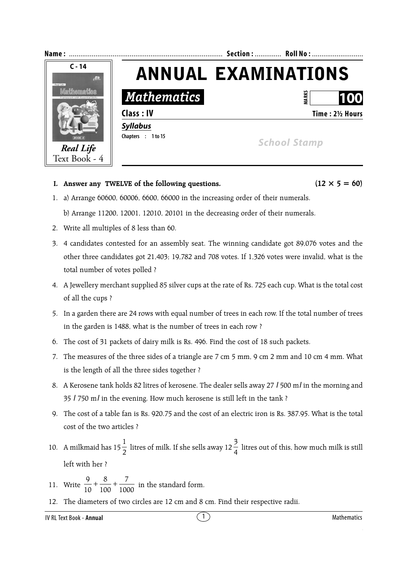

**I.** Answer any TWELVE of the following questions.  $(12 \times 5 = 60)$ 

1. a) Arrange 60600, 60006, 6600, 66000 in the increasing order of their numerals.

b) Arrange 11200, 12001, 12010, 20101 in the decreasing order of their numerals.

- 2. Write all multiples of 8 less than 60.
- 3. 4 candidates contested for an assembly seat. The winning candidate got 89,076 votes and the other three candidates got 21,403; 19,782 and 708 votes. If 1,326 votes were invalid, what is the total number of votes polled ?
- 4. A Jewellery merchant supplied 85 silver cups at the rate of Rs. 725 each cup. What is the total cost of all the cups ?
- 5. In a garden there are 24 rows with equal number of trees in each row. If the total number of trees in the garden is 1488, what is the number of trees in each row ?
- 6. The cost of 31 packets of dairy milk is Rs. 496. Find the cost of 18 such packets.
- 7. The measures of the three sides of a triangle are 7 cm 5 mm, 9 cm 2 mm and 10 cm 4 mm. What is the length of all the three sides together ?
- 8. A Kerosene tank holds 82 litres of kerosene. The dealer sells away 27 *l* 500 m*l* in the morning and 35 *l* 750 m*l* in the evening. How much kerosene is still left in the tank ?
- 9. The cost of a table fan is Rs. 920.75 and the cost of an electric iron is Rs. 387.95. What is the total cost of the two articles ?
- 10. A milkmaid has  $15\frac{1}{2}$ 1 litres of milk. If she sells away  $12\frac{3}{4}$  litres out of this, how much milk is still left with her ?
- 11. Write  $\frac{1}{10} + \frac{1}{100} + \frac{1}{1000}$ 7 100 8 10  $\frac{9}{10}$  +  $\frac{8}{100}$  +  $\frac{7}{1000}$  in the standard form.
- 12. The diameters of two circles are 12 cm and 8 cm. Find their respective radii.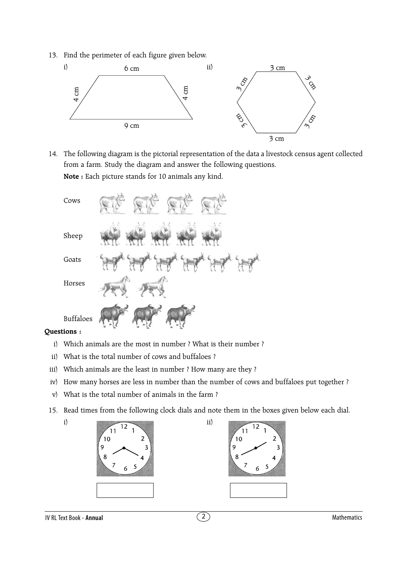13. Find the perimeter of each figure given below.



14. The following diagram is the pictorial representation of the data a livestock census agent collected from a farm. Study the diagram and answer the following questions. **Note :** Each picture stands for 10 animals any kind.

| Cows             |                                                             |
|------------------|-------------------------------------------------------------|
| Sheep            | $d\vec{k}$<br>$\frac{1}{2}$<br>ł<br>ţ<br>E.<br>$\mathbf{A}$ |
| Goats            |                                                             |
| Horses           |                                                             |
| <b>Buffaloes</b> |                                                             |

#### **Questions :**

- i) Which animals are the most in number ? What is their number ?
- ii) What is the total number of cows and buffaloes ?
- iii) Which animals are the least in number ? How many are they ?
- iv) How many horses are less in number than the number of cows and buffaloes put together ?
- v) What is the total number of animals in the farm ?
- 15. Read times from the following clock dials and note them in the boxes given below each dial.
	-



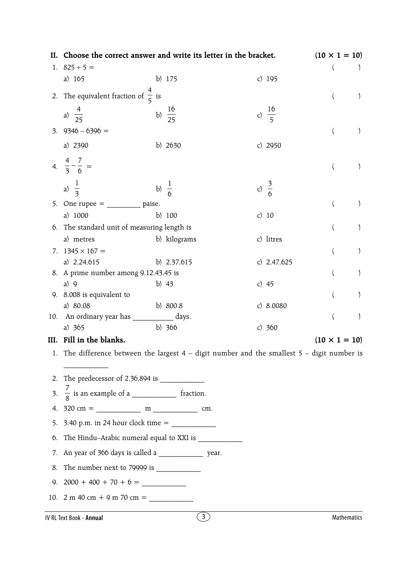|                                             | II. Choose the correct answer and write its letter in the bracket.                              |                  |                    |  |                  |                   | $(10 \times 1 = 10)$ |                      |                  |
|---------------------------------------------|-------------------------------------------------------------------------------------------------|------------------|--------------------|--|------------------|-------------------|----------------------|----------------------|------------------|
|                                             | 1. $825 \div 5 =$                                                                               |                  |                    |  |                  |                   |                      |                      |                  |
|                                             | a) $165$                                                                                        |                  | b) 175             |  |                  | c) $195$          |                      |                      |                  |
|                                             | 2. The equivalent fraction of $\frac{4}{5}$ is                                                  |                  |                    |  |                  |                   |                      | $\left($             |                  |
|                                             | a) $\frac{4}{25}$                                                                               |                  | b) $\frac{16}{25}$ |  |                  | c) $\frac{16}{5}$ |                      |                      |                  |
|                                             | $3.9346 - 6396 =$                                                                               |                  |                    |  |                  |                   |                      |                      | $\lambda$        |
|                                             | a) 2390                                                                                         |                  | b) 2630            |  |                  | c) $2950$         |                      |                      |                  |
|                                             | 4. $\frac{4}{3} - \frac{7}{6} =$                                                                |                  |                    |  |                  |                   |                      |                      |                  |
|                                             | a) $\frac{1}{3}$                                                                                | b) $\frac{1}{6}$ |                    |  | c) $\frac{3}{6}$ |                   |                      |                      |                  |
|                                             | 5. One rupee = $\frac{ }{ }$ paise.                                                             |                  |                    |  |                  |                   |                      |                      |                  |
|                                             | a) 1000                                                                                         |                  | b) $100$           |  | c) $10$          |                   |                      |                      |                  |
| 6. The standard unit of measuring length is |                                                                                                 |                  |                    |  |                  |                   |                      |                      | $\left( \right)$ |
|                                             | a) metres                                                                                       |                  | b) kilograms       |  |                  | c) litres         |                      |                      |                  |
|                                             | 7. $1345 \times 167 =$                                                                          |                  |                    |  |                  |                   |                      |                      | $\left( \right)$ |
|                                             | a) $2,24,615$                                                                                   |                  | b) $2,37,615$      |  |                  | c) $2,47,625$     |                      |                      |                  |
|                                             | 8. A prime number among 9,12,43,45 is                                                           |                  |                    |  |                  |                   |                      |                      |                  |
|                                             | a) $9$                                                                                          |                  | b) $43$            |  | c) $45$          |                   |                      |                      |                  |
|                                             | 9. 8.008 is equivalent to                                                                       |                  |                    |  |                  |                   |                      |                      |                  |
|                                             | a) 80.08                                                                                        |                  | b) 800.8           |  |                  | c) $8.0080$       |                      |                      |                  |
|                                             | 10. An ordinary year has ____________ days.                                                     |                  |                    |  |                  |                   |                      |                      | $\mathcal{E}$    |
|                                             | a) 365                                                                                          |                  | b) 366             |  |                  | c) $360$          |                      |                      |                  |
|                                             | III. Fill in the blanks.                                                                        |                  |                    |  |                  |                   |                      | $(10 \times 1 = 10)$ |                  |
|                                             | 1. The difference between the largest $4$ – digit number and the smallest $5$ – digit number is |                  |                    |  |                  |                   |                      |                      |                  |
|                                             |                                                                                                 |                  |                    |  |                  |                   |                      |                      |                  |
|                                             |                                                                                                 |                  |                    |  |                  |                   |                      |                      |                  |
|                                             |                                                                                                 |                  |                    |  |                  |                   |                      |                      |                  |
|                                             | 5. 3.40 p.m. in 24 hour clock time = $\frac{2}{1}$                                              |                  |                    |  |                  |                   |                      |                      |                  |
|                                             | 6. The Hindu-Arabic numeral equal to XXI is                                                     |                  |                    |  |                  |                   |                      |                      |                  |
|                                             | 7. An year of 366 days is called a _______________ year.                                        |                  |                    |  |                  |                   |                      |                      |                  |
|                                             |                                                                                                 |                  |                    |  |                  |                   |                      |                      |                  |
|                                             |                                                                                                 |                  |                    |  |                  |                   |                      |                      |                  |
|                                             | 10. 2 m 40 cm + 9 m 70 cm =                                                                     |                  |                    |  |                  |                   |                      |                      |                  |